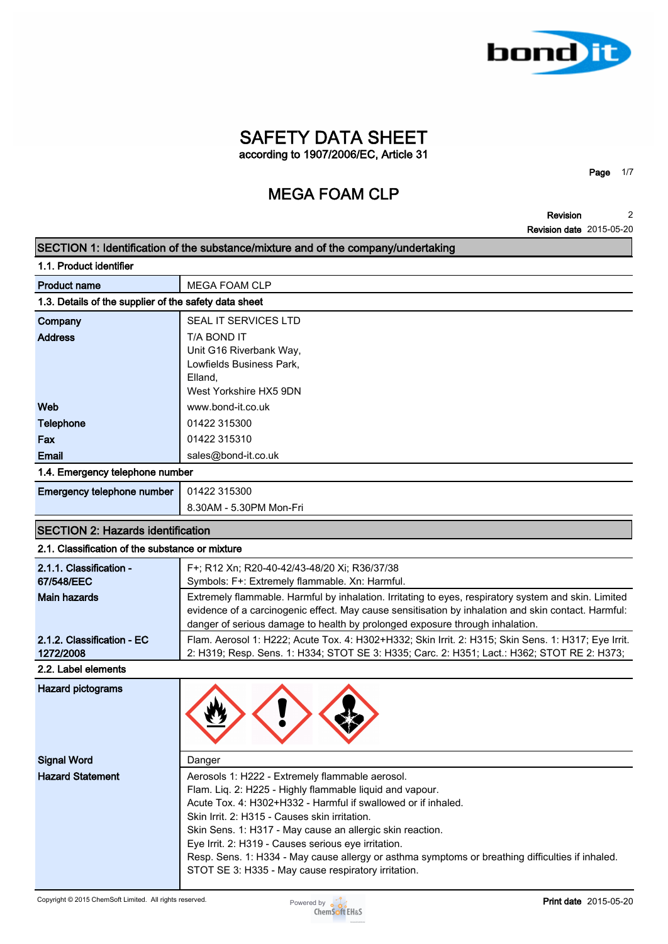

**Page 1/7**

**Revision Revision date 2015-05-20 2**

|                                                       | SECTION 1: Identification of the substance/mixture and of the company/undertaking                    |
|-------------------------------------------------------|------------------------------------------------------------------------------------------------------|
| 1.1. Product identifier                               |                                                                                                      |
| <b>Product name</b>                                   | <b>MEGA FOAM CLP</b>                                                                                 |
| 1.3. Details of the supplier of the safety data sheet |                                                                                                      |
| Company                                               | SEAL IT SERVICES LTD                                                                                 |
| <b>Address</b>                                        | T/A BOND IT                                                                                          |
|                                                       | Unit G16 Riverbank Way,                                                                              |
|                                                       | Lowfields Business Park,                                                                             |
|                                                       | Elland,                                                                                              |
|                                                       | West Yorkshire HX5 9DN                                                                               |
| Web                                                   | www.bond-it.co.uk                                                                                    |
| <b>Telephone</b>                                      | 01422 315300                                                                                         |
| Fax                                                   | 01422 315310                                                                                         |
| <b>Email</b>                                          | sales@bond-it.co.uk                                                                                  |
| 1.4. Emergency telephone number                       |                                                                                                      |
| Emergency telephone number                            | 01422 315300                                                                                         |
|                                                       | 8.30AM - 5.30PM Mon-Fri                                                                              |
| <b>SECTION 2: Hazards identification</b>              |                                                                                                      |
| 2.1. Classification of the substance or mixture       |                                                                                                      |
| 2.1.1. Classification -                               | F+; R12 Xn; R20-40-42/43-48/20 Xi; R36/37/38                                                         |
| 67/548/EEC                                            | Symbols: F+: Extremely flammable. Xn: Harmful.                                                       |
| <b>Main hazards</b>                                   | Extremely flammable. Harmful by inhalation. Irritating to eyes, respiratory system and skin. Limited |
|                                                       | evidence of a carcinogenic effect. May cause sensitisation by inhalation and skin contact. Harmful:  |
|                                                       | danger of serious damage to health by prolonged exposure through inhalation.                         |
| 2.1.2. Classification - EC                            | Flam. Aerosol 1: H222; Acute Tox. 4: H302+H332; Skin Irrit. 2: H315; Skin Sens. 1: H317; Eye Irrit.  |
| 1272/2008                                             | 2: H319; Resp. Sens. 1: H334; STOT SE 3: H335; Carc. 2: H351; Lact.: H362; STOT RE 2: H373;          |
| 2.2. Label elements                                   |                                                                                                      |
| <b>Hazard pictograms</b>                              |                                                                                                      |
| <b>Signal Word</b>                                    | Danger                                                                                               |
| <b>Hazard Statement</b>                               | Aerosols 1: H222 - Extremely flammable aerosol.                                                      |
|                                                       | Flam. Liq. 2: H225 - Highly flammable liquid and vapour.                                             |
|                                                       | Acute Tox. 4: H302+H332 - Harmful if swallowed or if inhaled.                                        |
|                                                       | Skin Irrit. 2: H315 - Causes skin irritation.                                                        |
|                                                       | Skin Sens. 1: H317 - May cause an allergic skin reaction.                                            |
|                                                       | Eye Irrit. 2: H319 - Causes serious eye irritation.                                                  |
|                                                       | Resp. Sens. 1: H334 - May cause allergy or asthma symptoms or breathing difficulties if inhaled.     |
|                                                       | STOT SE 3: H335 - May cause respiratory irritation.                                                  |

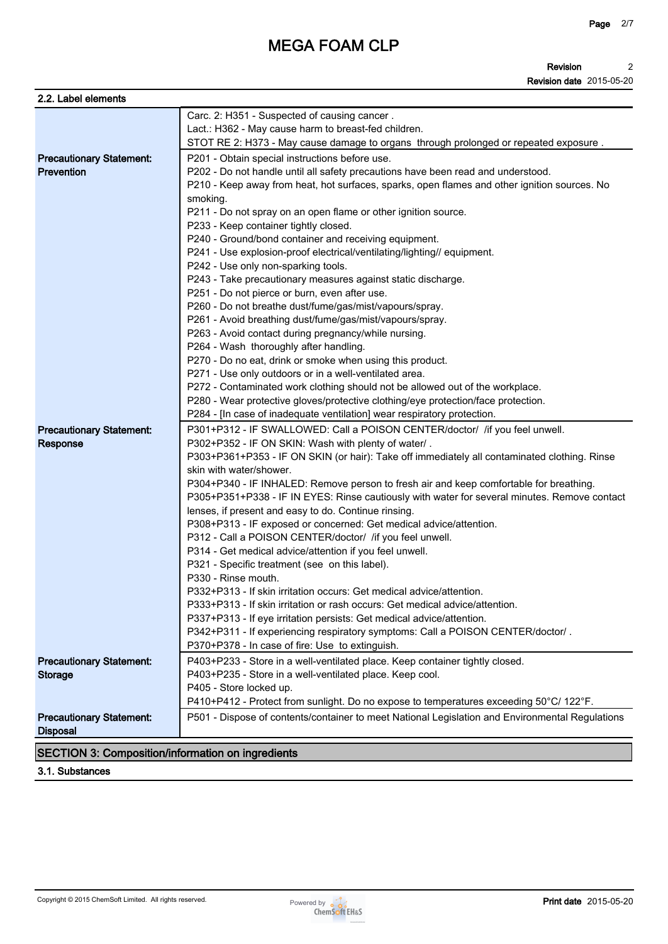**Revision Revision date 2015-05-20 2**

| 2.2. Label elements                                      |                                                                                                           |
|----------------------------------------------------------|-----------------------------------------------------------------------------------------------------------|
|                                                          | Carc. 2: H351 - Suspected of causing cancer.                                                              |
|                                                          | Lact.: H362 - May cause harm to breast-fed children.                                                      |
|                                                          | STOT RE 2: H373 - May cause damage to organs through prolonged or repeated exposure.                      |
| <b>Precautionary Statement:</b>                          | P201 - Obtain special instructions before use.                                                            |
| <b>Prevention</b>                                        | P202 - Do not handle until all safety precautions have been read and understood.                          |
|                                                          | P210 - Keep away from heat, hot surfaces, sparks, open flames and other ignition sources. No              |
|                                                          | smoking.                                                                                                  |
|                                                          | P211 - Do not spray on an open flame or other ignition source.                                            |
|                                                          | P233 - Keep container tightly closed.                                                                     |
|                                                          | P240 - Ground/bond container and receiving equipment.                                                     |
|                                                          | P241 - Use explosion-proof electrical/ventilating/lighting// equipment.                                   |
|                                                          | P242 - Use only non-sparking tools.                                                                       |
|                                                          | P243 - Take precautionary measures against static discharge.                                              |
|                                                          | P251 - Do not pierce or burn, even after use.                                                             |
|                                                          | P260 - Do not breathe dust/fume/gas/mist/vapours/spray.                                                   |
|                                                          | P261 - Avoid breathing dust/fume/gas/mist/vapours/spray.                                                  |
|                                                          | P263 - Avoid contact during pregnancy/while nursing.                                                      |
|                                                          | P264 - Wash thoroughly after handling.                                                                    |
|                                                          | P270 - Do no eat, drink or smoke when using this product.                                                 |
|                                                          | P271 - Use only outdoors or in a well-ventilated area.                                                    |
|                                                          | P272 - Contaminated work clothing should not be allowed out of the workplace.                             |
|                                                          | P280 - Wear protective gloves/protective clothing/eye protection/face protection.                         |
|                                                          | P284 - [In case of inadequate ventilation] wear respiratory protection.                                   |
| <b>Precautionary Statement:</b>                          | P301+P312 - IF SWALLOWED: Call a POISON CENTER/doctor/ /if you feel unwell.                               |
| Response                                                 | P302+P352 - IF ON SKIN: Wash with plenty of water/.                                                       |
|                                                          | P303+P361+P353 - IF ON SKIN (or hair): Take off immediately all contaminated clothing. Rinse              |
|                                                          | skin with water/shower.                                                                                   |
|                                                          | P304+P340 - IF INHALED: Remove person to fresh air and keep comfortable for breathing.                    |
|                                                          | P305+P351+P338 - IF IN EYES: Rinse cautiously with water for several minutes. Remove contact              |
|                                                          | lenses, if present and easy to do. Continue rinsing.                                                      |
|                                                          | P308+P313 - IF exposed or concerned: Get medical advice/attention.                                        |
|                                                          | P312 - Call a POISON CENTER/doctor/ /if you feel unwell.                                                  |
|                                                          | P314 - Get medical advice/attention if you feel unwell.<br>P321 - Specific treatment (see on this label). |
|                                                          | P330 - Rinse mouth.                                                                                       |
|                                                          | P332+P313 - If skin irritation occurs: Get medical advice/attention.                                      |
|                                                          | P333+P313 - If skin irritation or rash occurs: Get medical advice/attention.                              |
|                                                          | P337+P313 - If eye irritation persists: Get medical advice/attention.                                     |
|                                                          | P342+P311 - If experiencing respiratory symptoms: Call a POISON CENTER/doctor/.                           |
|                                                          | P370+P378 - In case of fire: Use to extinguish.                                                           |
| <b>Precautionary Statement:</b>                          | P403+P233 - Store in a well-ventilated place. Keep container tightly closed.                              |
| <b>Storage</b>                                           | P403+P235 - Store in a well-ventilated place. Keep cool.                                                  |
|                                                          | P405 - Store locked up.                                                                                   |
|                                                          | P410+P412 - Protect from sunlight. Do no expose to temperatures exceeding 50°C/ 122°F.                    |
| <b>Precautionary Statement:</b><br><b>Disposal</b>       | P501 - Dispose of contents/container to meet National Legislation and Environmental Regulations           |
|                                                          |                                                                                                           |
| <b>SECTION 3: Composition/information on ingredients</b> |                                                                                                           |

**3.1. Substances**

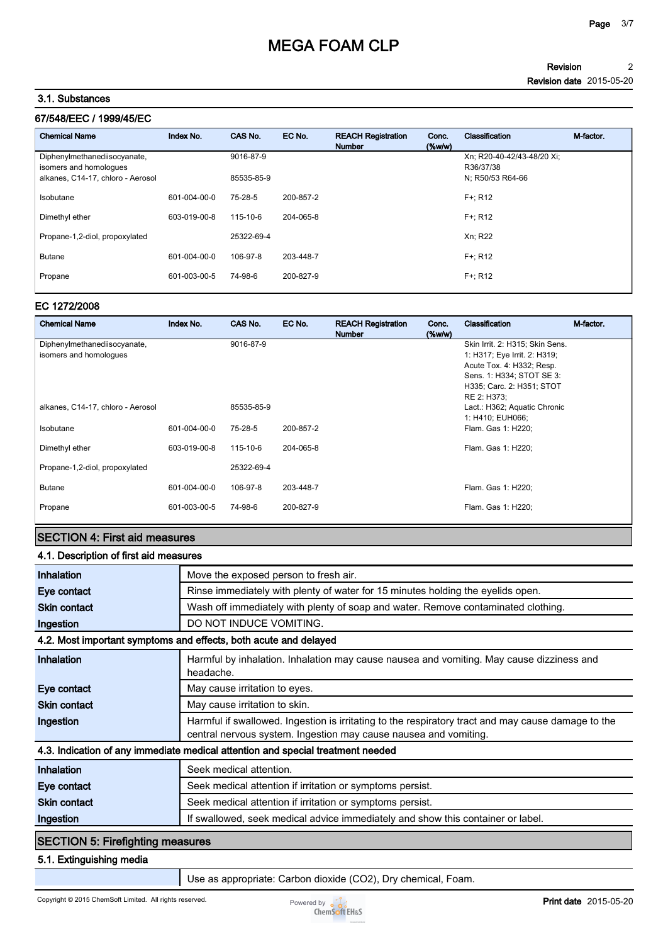#### **Revision Revision date 2015-05-20 2**

# **3.1. Substances**

| Index No.    | CAS No.    | EC No.    | <b>REACH Registration</b><br><b>Number</b> | Conc.<br>(% | Classification                          | M-factor |
|--------------|------------|-----------|--------------------------------------------|-------------|-----------------------------------------|----------|
|              | 9016-87-9  |           |                                            |             | Xn: R20-40-42/43-48/20 Xi:<br>R36/37/38 |          |
|              | 85535-85-9 |           |                                            |             | N; R50/53 R64-66                        |          |
| 601-004-00-0 | 75-28-5    | 200-857-2 |                                            |             | $F +: R12$                              |          |
| 603-019-00-8 | 115-10-6   | 204-065-8 |                                            |             | $F +: R12$                              |          |
|              | 25322-69-4 |           |                                            |             | Xn; R22                                 |          |
| 601-004-00-0 | 106-97-8   | 203-448-7 |                                            |             | $F +: R12$                              |          |
| 601-003-00-5 | 74-98-6    | 200-827-9 |                                            |             | $F +: R12$                              |          |
|              |            |           |                                            |             |                                         |          |

## **EC 1272/2008**

| <b>Chemical Name</b>              | Index No.    | CAS No.    | EC No.    | <b>REACH Registration</b><br><b>Number</b> | Conc.<br>$(\%w/w)$ | <b>Classification</b>           | M-factor. |
|-----------------------------------|--------------|------------|-----------|--------------------------------------------|--------------------|---------------------------------|-----------|
| Diphenylmethanediisocyanate,      |              | 9016-87-9  |           |                                            |                    | Skin Irrit. 2: H315; Skin Sens. |           |
| isomers and homologues            |              |            |           |                                            |                    | 1: H317; Eye Irrit. 2: H319;    |           |
|                                   |              |            |           |                                            |                    | Acute Tox. 4: H332; Resp.       |           |
|                                   |              |            |           |                                            |                    | Sens. 1: H334; STOT SE 3:       |           |
|                                   |              |            |           |                                            |                    | H335; Carc. 2: H351; STOT       |           |
|                                   |              |            |           |                                            |                    | RE 2: H373;                     |           |
| alkanes, C14-17, chloro - Aerosol |              | 85535-85-9 |           |                                            |                    | Lact.: H362; Aquatic Chronic    |           |
|                                   |              |            |           |                                            |                    | 1: H410; EUH066;                |           |
| Isobutane                         | 601-004-00-0 | 75-28-5    | 200-857-2 |                                            |                    | Flam. Gas 1: H220;              |           |
| Dimethyl ether                    | 603-019-00-8 | 115-10-6   | 204-065-8 |                                            |                    | Flam. Gas 1: H220;              |           |
| Propane-1,2-diol, propoxylated    |              | 25322-69-4 |           |                                            |                    |                                 |           |
| <b>Butane</b>                     | 601-004-00-0 | 106-97-8   | 203-448-7 |                                            |                    | Flam. Gas 1: H220;              |           |
| Propane                           | 601-003-00-5 | 74-98-6    | 200-827-9 |                                            |                    | Flam. Gas 1: H220;              |           |

# **SECTION 4: First aid measures**

## **4.1. Description of first aid measures**

| Inhalation                                                                      | Move the exposed person to fresh air.                                                                                                                                  |  |  |  |
|---------------------------------------------------------------------------------|------------------------------------------------------------------------------------------------------------------------------------------------------------------------|--|--|--|
| Eye contact                                                                     | Rinse immediately with plenty of water for 15 minutes holding the eyelids open.                                                                                        |  |  |  |
| <b>Skin contact</b>                                                             | Wash off immediately with plenty of soap and water. Remove contaminated clothing.                                                                                      |  |  |  |
| Ingestion                                                                       | DO NOT INDUCE VOMITING.                                                                                                                                                |  |  |  |
|                                                                                 | 4.2. Most important symptoms and effects, both acute and delayed                                                                                                       |  |  |  |
| Inhalation                                                                      | Harmful by inhalation. Inhalation may cause nausea and vomiting. May cause dizziness and<br>headache.                                                                  |  |  |  |
| Eye contact                                                                     | May cause irritation to eyes.                                                                                                                                          |  |  |  |
| <b>Skin contact</b>                                                             | May cause irritation to skin.                                                                                                                                          |  |  |  |
| Ingestion                                                                       | Harmful if swallowed. Ingestion is irritating to the respiratory tract and may cause damage to the<br>central nervous system. Ingestion may cause nausea and vomiting. |  |  |  |
| 4.3. Indication of any immediate medical attention and special treatment needed |                                                                                                                                                                        |  |  |  |
| Inhalation                                                                      | Seek medical attention.                                                                                                                                                |  |  |  |
| Eye contact                                                                     | Seek medical attention if irritation or symptoms persist.                                                                                                              |  |  |  |
| <b>Skin contact</b>                                                             | Seek medical attention if irritation or symptoms persist.                                                                                                              |  |  |  |
| Ingestion                                                                       | If swallowed, seek medical advice immediately and show this container or label.                                                                                        |  |  |  |
| <b>SECTION 5: Firefighting measures</b>                                         |                                                                                                                                                                        |  |  |  |

**5.1. Extinguishing media**

**Use as appropriate: Carbon dioxide (CO2), Dry chemical, Foam.**

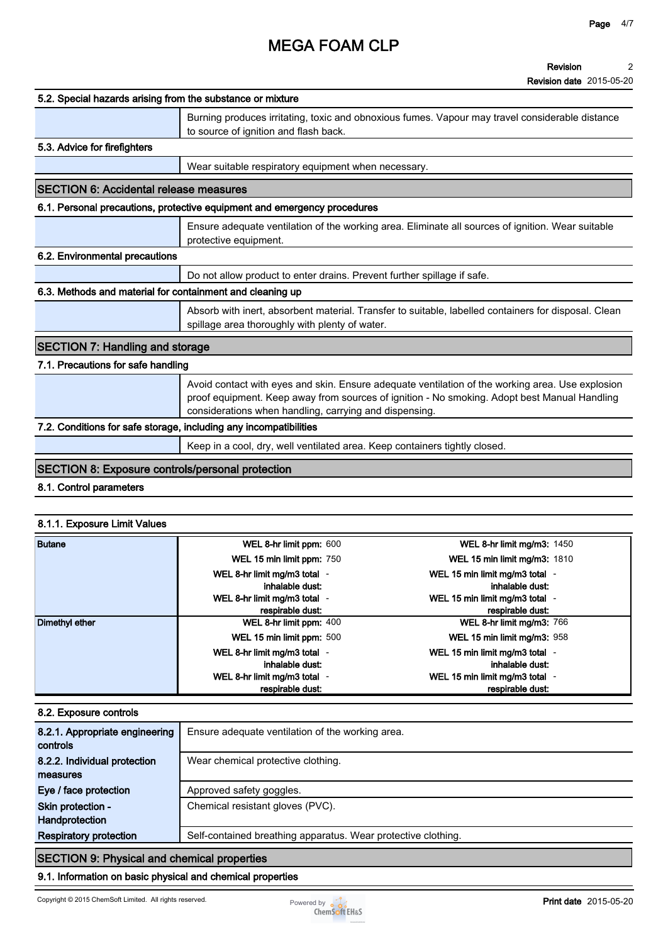#### **Revision 2**

**Revision date 2015-05-20**

| 5.2. Special hazards arising from the substance or mixture        |                                                                                                                                                                                                                                                            |                                                                                                      |  |
|-------------------------------------------------------------------|------------------------------------------------------------------------------------------------------------------------------------------------------------------------------------------------------------------------------------------------------------|------------------------------------------------------------------------------------------------------|--|
|                                                                   | to source of ignition and flash back.                                                                                                                                                                                                                      | Burning produces irritating, toxic and obnoxious fumes. Vapour may travel considerable distance      |  |
| 5.3. Advice for firefighters                                      |                                                                                                                                                                                                                                                            |                                                                                                      |  |
|                                                                   | Wear suitable respiratory equipment when necessary.                                                                                                                                                                                                        |                                                                                                      |  |
| <b>SECTION 6: Accidental release measures</b>                     |                                                                                                                                                                                                                                                            |                                                                                                      |  |
|                                                                   | 6.1. Personal precautions, protective equipment and emergency procedures                                                                                                                                                                                   |                                                                                                      |  |
|                                                                   | protective equipment.                                                                                                                                                                                                                                      | Ensure adequate ventilation of the working area. Eliminate all sources of ignition. Wear suitable    |  |
| 6.2. Environmental precautions                                    |                                                                                                                                                                                                                                                            |                                                                                                      |  |
|                                                                   | Do not allow product to enter drains. Prevent further spillage if safe.                                                                                                                                                                                    |                                                                                                      |  |
| 6.3. Methods and material for containment and cleaning up         |                                                                                                                                                                                                                                                            |                                                                                                      |  |
|                                                                   | spillage area thoroughly with plenty of water.                                                                                                                                                                                                             | Absorb with inert, absorbent material. Transfer to suitable, labelled containers for disposal. Clean |  |
| <b>SECTION 7: Handling and storage</b>                            |                                                                                                                                                                                                                                                            |                                                                                                      |  |
| 7.1. Precautions for safe handling                                |                                                                                                                                                                                                                                                            |                                                                                                      |  |
|                                                                   | Avoid contact with eyes and skin. Ensure adequate ventilation of the working area. Use explosion<br>proof equipment. Keep away from sources of ignition - No smoking. Adopt best Manual Handling<br>considerations when handling, carrying and dispensing. |                                                                                                      |  |
| 7.2. Conditions for safe storage, including any incompatibilities |                                                                                                                                                                                                                                                            |                                                                                                      |  |
|                                                                   | Keep in a cool, dry, well ventilated area. Keep containers tightly closed.                                                                                                                                                                                 |                                                                                                      |  |
| <b>SECTION 8: Exposure controls/personal protection</b>           |                                                                                                                                                                                                                                                            |                                                                                                      |  |
| 8.1. Control parameters                                           |                                                                                                                                                                                                                                                            |                                                                                                      |  |
|                                                                   |                                                                                                                                                                                                                                                            |                                                                                                      |  |
| 8.1.1. Exposure Limit Values                                      |                                                                                                                                                                                                                                                            |                                                                                                      |  |
| <b>Butane</b>                                                     | WEL 8-hr limit ppm: 600<br>WEL 15 min limit ppm: 750                                                                                                                                                                                                       | WEL 8-hr limit mg/m3: 1450<br>WEL 15 min limit mg/m3: 1810                                           |  |
|                                                                   |                                                                                                                                                                                                                                                            |                                                                                                      |  |

|                | <b>VVEL 15 MIN IMIL DDM.</b> 750 | <b>VVEL TO MINIMUM MOVING.</b> 1810 |
|----------------|----------------------------------|-------------------------------------|
|                | WEL 8-hr limit mg/m3 total -     | WEL 15 min limit mg/m3 total -      |
|                | inhalable dust:                  | inhalable dust:                     |
|                | WEL 8-hr limit mg/m3 total -     | WEL 15 min limit mg/m3 total -      |
|                | respirable dust:                 | respirable dust:                    |
| Dimethyl ether | WEL 8-hr limit ppm: 400          | WEL 8-hr limit mg/m3: 766           |
|                | WEL 15 min limit ppm: 500        | WEL 15 min limit mg/m3: 958         |
|                | WEL 8-hr limit mg/m3 total -     | WEL 15 min limit mg/m3 total        |
|                | inhalable dust:                  | inhalable dust:                     |
|                | WEL 8-hr limit mg/m3 total -     | WEL 15 min limit mg/m3 total        |
|                | respirable dust:                 | respirable dust:                    |

### **8.2. Exposure controls**

| 8.2.1. Appropriate engineering<br>controls | Ensure adequate ventilation of the working area.              |
|--------------------------------------------|---------------------------------------------------------------|
| 8.2.2. Individual protection               | Wear chemical protective clothing.                            |
| measures                                   |                                                               |
| Eye / face protection                      | Approved safety goggles.                                      |
| Skin protection -                          | Chemical resistant gloves (PVC).                              |
| Handprotection                             |                                                               |
| <b>Respiratory protection</b>              | Self-contained breathing apparatus. Wear protective clothing. |
|                                            |                                                               |

# **SECTION 9: Physical and chemical properties**

# **9.1. Information on basic physical and chemical properties**

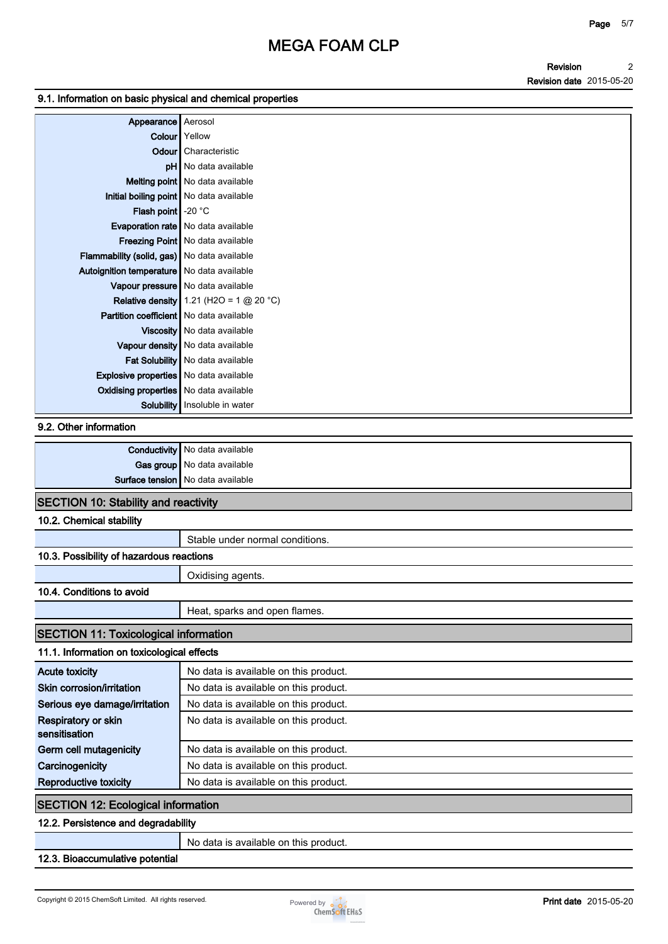### **Revision Revision date <sup>2</sup> 2015-05-20**

### **9.1. Information on basic physical and chemical properties**

| Appearance Aerosol                                 |                                             |
|----------------------------------------------------|---------------------------------------------|
|                                                    | <b>Colour</b> Yellow                        |
|                                                    | <b>Odour</b> Characteristic                 |
|                                                    | pH   No data available                      |
|                                                    | <b>Melting point</b> No data available      |
| Initial boiling point   No data available          |                                             |
| <b>Flash point</b> $\sim$ 20 °C                    |                                             |
|                                                    | <b>Evaporation rate</b>   No data available |
|                                                    | Freezing Point   No data available          |
| <b>Flammability (solid, gas)</b> No data available |                                             |
| Autoignition temperature   No data available       |                                             |
|                                                    | Vapour pressure   No data available         |
|                                                    | Relative density 1.21 (H2O = 1 $@$ 20 °C)   |
| <b>Partition coefficient</b> No data available     |                                             |
|                                                    | Viscosity   No data available               |
|                                                    | Vapour density   No data available          |
|                                                    | Fat Solubility   No data available          |
| <b>Explosive properties</b> No data available      |                                             |
| <b>Oxidising properties</b> No data available      |                                             |
|                                                    | Solubility   Insoluble in water             |

#### **9.2. Other information**

|                                          | <b>Conductivity</b> No data available |
|------------------------------------------|---------------------------------------|
|                                          | Gas group No data available           |
| <b>Surface tension</b> No data available |                                       |

## **SECTION 10: Stability and reactivity**

### **10.2. Chemical stability**

|                                              | Stable under normal conditions.       |  |  |
|----------------------------------------------|---------------------------------------|--|--|
| 10.3. Possibility of hazardous reactions     |                                       |  |  |
|                                              | Oxidising agents.                     |  |  |
| 10.4. Conditions to avoid                    |                                       |  |  |
|                                              | Heat, sparks and open flames.         |  |  |
| <b>SECTION 11: Toxicological information</b> |                                       |  |  |
| 11.1. Information on toxicological effects   |                                       |  |  |
| <b>Acute toxicity</b>                        | No data is available on this product. |  |  |
| Skin corrosion/irritation                    | No data is available on this product. |  |  |
| Serious eye damage/irritation                | No data is available on this product. |  |  |
| Respiratory or skin                          | No data is available on this product. |  |  |
| sensitisation                                |                                       |  |  |
| Germ cell mutagenicity                       | No data is available on this product. |  |  |
| Carcinogenicity                              | No data is available on this product. |  |  |
| <b>Reproductive toxicity</b>                 | No data is available on this product. |  |  |
| <b>SECTION 12: Ecological information</b>    |                                       |  |  |
|                                              |                                       |  |  |

# **12.2. Persistence and degradability**

**No data is available on this product.**

### **12.3. Bioaccumulative potential**

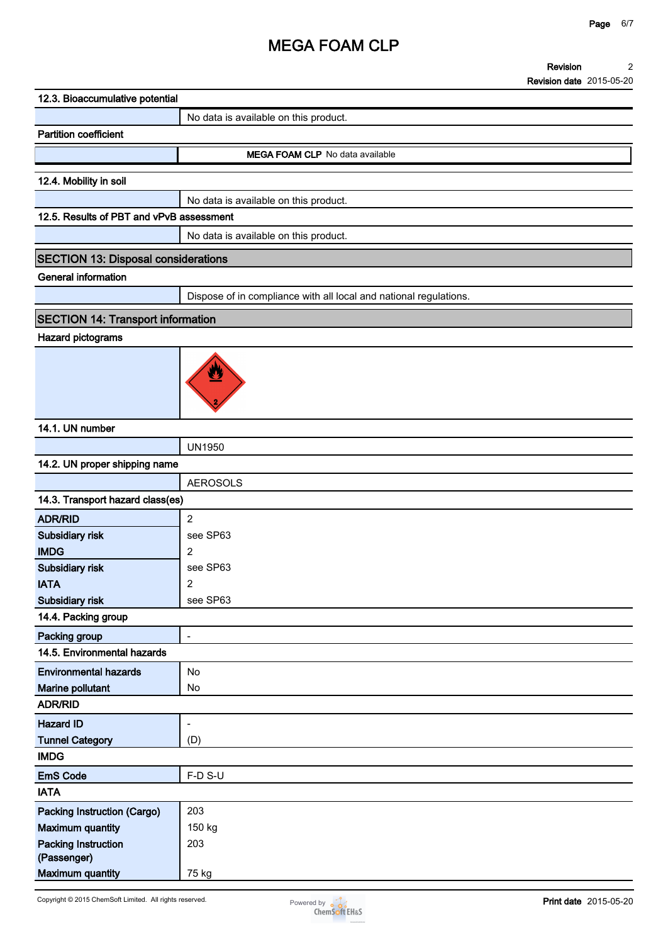**Revision Revision date 2015-05-20 2**

| 12.3. Bioaccumulative potential            |                                                                   |
|--------------------------------------------|-------------------------------------------------------------------|
|                                            | No data is available on this product.                             |
| <b>Partition coefficient</b>               |                                                                   |
|                                            | MEGA FOAM CLP No data available                                   |
|                                            |                                                                   |
| 12.4. Mobility in soil                     |                                                                   |
| 12.5. Results of PBT and vPvB assessment   | No data is available on this product.                             |
|                                            |                                                                   |
|                                            | No data is available on this product.                             |
| <b>SECTION 13: Disposal considerations</b> |                                                                   |
| <b>General information</b>                 |                                                                   |
|                                            | Dispose of in compliance with all local and national regulations. |
| <b>SECTION 14: Transport information</b>   |                                                                   |
| <b>Hazard pictograms</b>                   |                                                                   |
|                                            | W                                                                 |
| 14.1. UN number                            |                                                                   |
|                                            | <b>UN1950</b>                                                     |
| 14.2. UN proper shipping name              |                                                                   |
|                                            | <b>AEROSOLS</b>                                                   |
| 14.3. Transport hazard class(es)           |                                                                   |
| <b>ADR/RID</b>                             | $\sqrt{2}$                                                        |
| Subsidiary risk                            | see SP63                                                          |
| <b>IMDG</b>                                | $\overline{2}$                                                    |
| Subsidiary risk                            | see SP63                                                          |
| <b>IATA</b><br>Subsidiary risk             | $\overline{\mathbf{c}}$<br>see SP63                               |
| 14.4. Packing group                        |                                                                   |
| Packing group                              | $\qquad \qquad \blacksquare$                                      |
| 14.5. Environmental hazards                |                                                                   |
| <b>Environmental hazards</b>               | No                                                                |
| Marine pollutant                           | No                                                                |
| <b>ADR/RID</b>                             |                                                                   |
| <b>Hazard ID</b>                           | $\overline{\phantom{a}}$                                          |
| <b>Tunnel Category</b>                     | (D)                                                               |
| <b>IMDG</b>                                |                                                                   |
| <b>EmS Code</b>                            | F-D S-U                                                           |
| <b>IATA</b>                                |                                                                   |
| Packing Instruction (Cargo)                | 203                                                               |
| <b>Maximum quantity</b>                    | 150 kg                                                            |
| <b>Packing Instruction</b><br>(Passenger)  | 203                                                               |
| <b>Maximum quantity</b>                    | 75 kg                                                             |